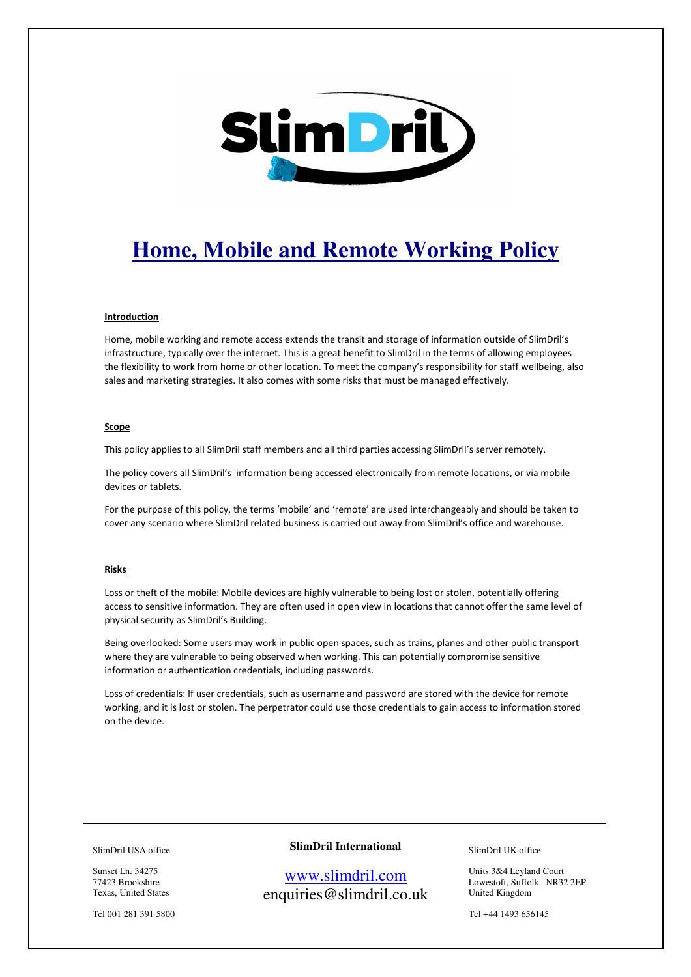

# **Home, Mobile and Remote Working Policy**

#### **Introduction**

Home, mobile working and remote access extends the transit and storage of information outside of SlimDril's infrastructure, typically over the internet. This is a great benefit to SlimDril in the terms of allowing employees the flexibility to work from home or other location. To meet the company's responsibility for staff wellbeing, also sales and marketing strategies. It also comes with some risks that must be managed effectively.

## Scope

This policy applies to all SlimDril staff members and all third parties accessing SlimDril's server remotely.

The policy covers all SlimDril's information being accessed electronically from remote locations, or via mobile devices or tablets.

For the purpose of this policy, the terms 'mobile' and 'remote' are used interchangeably and should be taken to cover any scenario where SlimDril related business is carried out away from SlimDril's office and warehouse.

#### Risks

Loss or theft of the mobile: Mobile devices are highly vulnerable to being lost or stolen, potentially offering access to sensitive information. They are often used in open view in locations that cannot offer the same level of physical security as SlimDril's Building.

Being overlooked: Some users may work in public open spaces, such as trains, planes and other public transport where they are vulnerable to being observed when working. This can potentially compromise sensitive information or authentication credentials, including passwords.

Loss of credentials: If user credentials, such as username and password are stored with the device for remote working, and it is lost or stolen. The perpetrator could use those credentials to gain access to information stored on the device.

SlimDril USA office

Sunset Ln. 34275 77423 Brookshire Texas, United States

Tel 001 281 391 5800

# **SlimDril International**

www.slimdril.com enquiries@slimdril.co.uk SlimDril UK office

Units 3&4 Leyland Court Lowestoft, Suffolk, NR32 2EP United Kingdom

Tel +44 1493 656145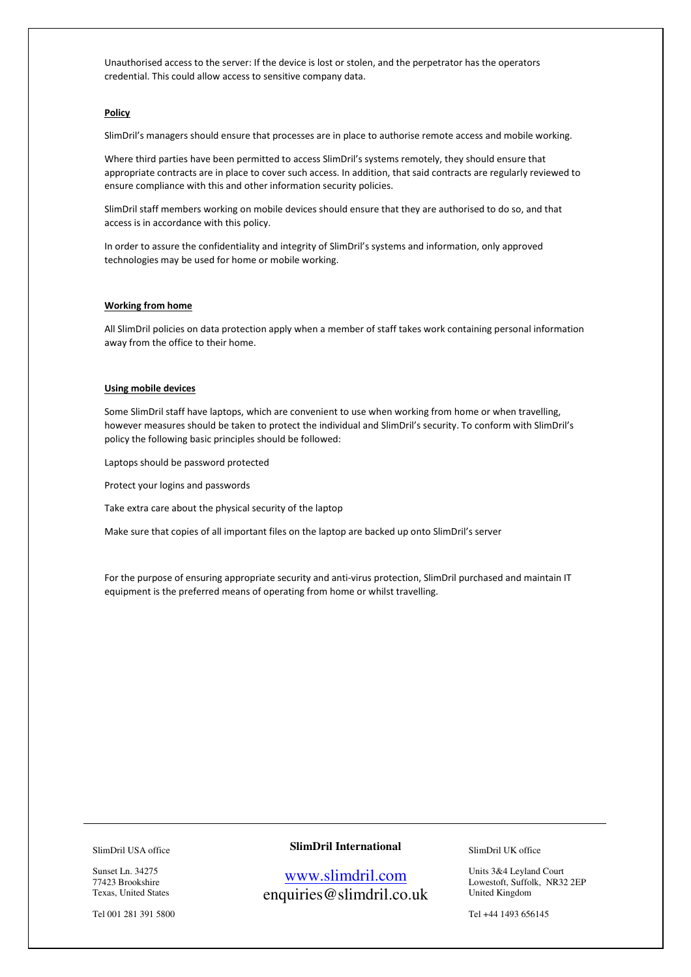Unauthorised access to the server: If the device is lost or stolen, and the perpetrator has the operators credential. This could allow access to sensitive company data.

### Policy

SlimDril's managers should ensure that processes are in place to authorise remote access and mobile working.

Where third parties have been permitted to access SlimDril's systems remotely, they should ensure that appropriate contracts are in place to cover such access. In addition, that said contracts are regularly reviewed to ensure compliance with this and other information security policies.

SlimDril staff members working on mobile devices should ensure that they are authorised to do so, and that access is in accordance with this policy.

In order to assure the confidentiality and integrity of SlimDril's systems and information, only approved technologies may be used for home or mobile working.

#### Working from home

All SlimDril policies on data protection apply when a member of staff takes work containing personal information away from the office to their home.

# Using mobile devices

Some SlimDril staff have laptops, which are convenient to use when working from home or when travelling, however measures should be taken to protect the individual and SlimDril's security. To conform with SlimDril's policy the following basic principles should be followed:

Laptops should be password protected

Protect your logins and passwords

Take extra care about the physical security of the laptop

Make sure that copies of all important files on the laptop are backed up onto SlimDril's server

For the purpose of ensuring appropriate security and anti-virus protection, SlimDril purchased and maintain IT equipment is the preferred means of operating from home or whilst travelling.

#### SlimDril USA office

Sunset Ln. 34275 77423 Brookshire Texas, United States

Tel 001 281 391 5800

# **SlimDril International**

www.slimdril.com enquiries@slimdril.co.uk SlimDril UK office

Units 3&4 Leyland Court Lowestoft, Suffolk, NR32 2EP United Kingdom

Tel +44 1493 656145